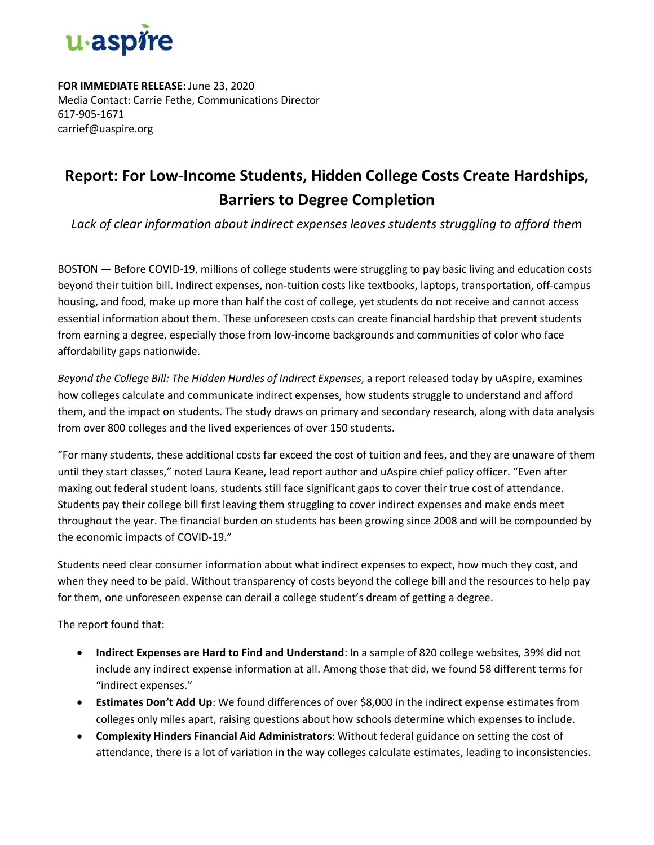

**FOR IMMEDIATE RELEASE**: June 23, 2020 Media Contact: Carrie Fethe, Communications Director 617-905-1671 carrief@uaspire.org

## **Report: For Low-Income Students, Hidden College Costs Create Hardships, Barriers to Degree Completion**

*Lack of clear information about indirect expenses leaves students struggling to afford them*

BOSTON — Before COVID-19, millions of college students were struggling to pay basic living and education costs beyond their tuition bill. Indirect expenses, non-tuition costs like textbooks, laptops, transportation, off-campus housing, and food, make up more than half the cost of college, yet students do not receive and cannot access essential information about them. These unforeseen costs can create financial hardship that prevent students from earning a degree, especially those from low-income backgrounds and communities of color who face affordability gaps nationwide.

*Beyond the College Bill: The Hidden Hurdles of Indirect Expenses*, a report released today by uAspire, examines how colleges calculate and communicate indirect expenses, how students struggle to understand and afford them, and the impact on students. The study draws on primary and secondary research, along with data analysis from over 800 colleges and the lived experiences of over 150 students.

"For many students, these additional costs far exceed the cost of tuition and fees, and they are unaware of them until they start classes," noted Laura Keane, lead report author and uAspire chief policy officer. "Even after maxing out federal student loans, students still face significant gaps to cover their true cost of attendance. Students pay their college bill first leaving them struggling to cover indirect expenses and make ends meet throughout the year. The financial burden on students has been growing since 2008 and will be compounded by the economic impacts of COVID-19."

Students need clear consumer information about what indirect expenses to expect, how much they cost, and when they need to be paid. Without transparency of costs beyond the college bill and the resources to help pay for them, one unforeseen expense can derail a college student's dream of getting a degree.

The report found that:

- **Indirect Expenses are Hard to Find and Understand**: In a sample of 820 college websites, 39% did not include any indirect expense information at all. Among those that did, we found 58 different terms for "indirect expenses."
- **Estimates Don't Add Up**: We found differences of over \$8,000 in the indirect expense estimates from colleges only miles apart, raising questions about how schools determine which expenses to include.
- **Complexity Hinders Financial Aid Administrators**: Without federal guidance on setting the cost of attendance, there is a lot of variation in the way colleges calculate estimates, leading to inconsistencies.